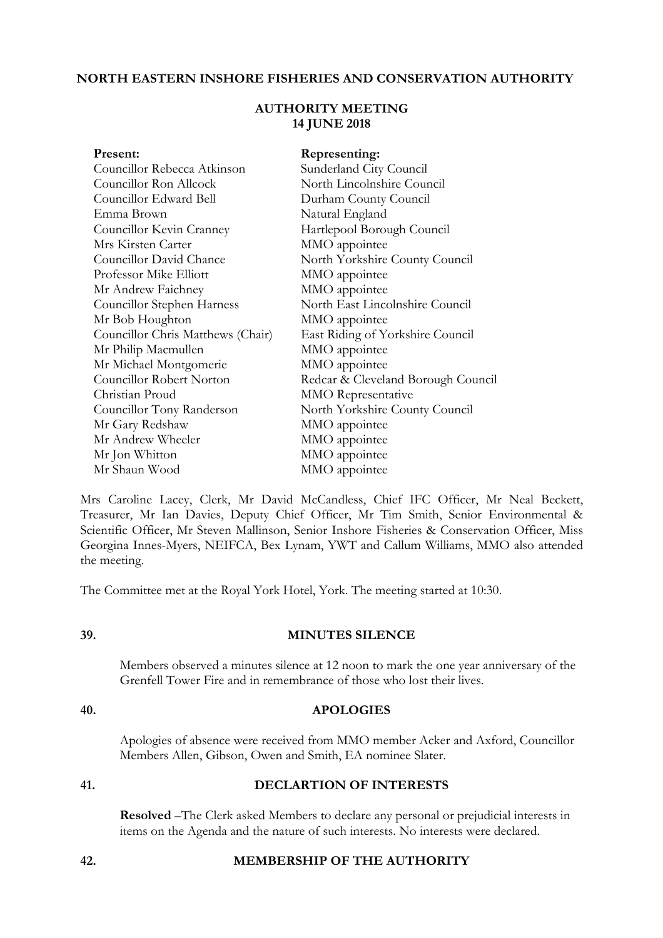### **NORTH EASTERN INSHORE FISHERIES AND CONSERVATION AUTHORITY**

## **AUTHORITY MEETING 14 JUNE 2018**

| Present:                          | Representing:                      |
|-----------------------------------|------------------------------------|
| Councillor Rebecca Atkinson       | Sunderland City Council            |
| Councillor Ron Allcock            | North Lincolnshire Council         |
| Councillor Edward Bell            | Durham County Council              |
| Emma Brown                        | Natural England                    |
| Councillor Kevin Cranney          | Hartlepool Borough Council         |
| Mrs Kirsten Carter                | MMO appointee                      |
| Councillor David Chance           | North Yorkshire County Council     |
| Professor Mike Elliott            | MMO appointee                      |
| Mr Andrew Faichney                | MMO appointee                      |
| Councillor Stephen Harness        | North East Lincolnshire Council    |
| Mr Bob Houghton                   | MMO appointee                      |
| Councillor Chris Matthews (Chair) | East Riding of Yorkshire Council   |
| Mr Philip Macmullen               | MMO appointee                      |
| Mr Michael Montgomerie            | MMO appointee                      |
| Councillor Robert Norton          | Redcar & Cleveland Borough Council |
| Christian Proud                   | <b>MMO</b> Representative          |
| Councillor Tony Randerson         | North Yorkshire County Council     |
| Mr Gary Redshaw                   | MMO appointee                      |
| Mr Andrew Wheeler                 | MMO appointee                      |
| Mr Jon Whitton                    | MMO appointee                      |
| Mr Shaun Wood                     | MMO appointee                      |

Mrs Caroline Lacey, Clerk, Mr David McCandless, Chief IFC Officer, Mr Neal Beckett, Treasurer, Mr Ian Davies, Deputy Chief Officer, Mr Tim Smith, Senior Environmental & Scientific Officer, Mr Steven Mallinson, Senior Inshore Fisheries & Conservation Officer, Miss Georgina Innes-Myers, NEIFCA, Bex Lynam, YWT and Callum Williams, MMO also attended the meeting.

The Committee met at the Royal York Hotel, York. The meeting started at 10:30.

#### **39. MINUTES SILENCE**

Members observed a minutes silence at 12 noon to mark the one year anniversary of the Grenfell Tower Fire and in remembrance of those who lost their lives.

## **40. APOLOGIES**

Apologies of absence were received from MMO member Acker and Axford, Councillor Members Allen, Gibson, Owen and Smith, EA nominee Slater.

#### **41. DECLARTION OF INTERESTS**

 **Resolved** –The Clerk asked Members to declare any personal or prejudicial interests in items on the Agenda and the nature of such interests. No interests were declared.

### **42. MEMBERSHIP OF THE AUTHORITY**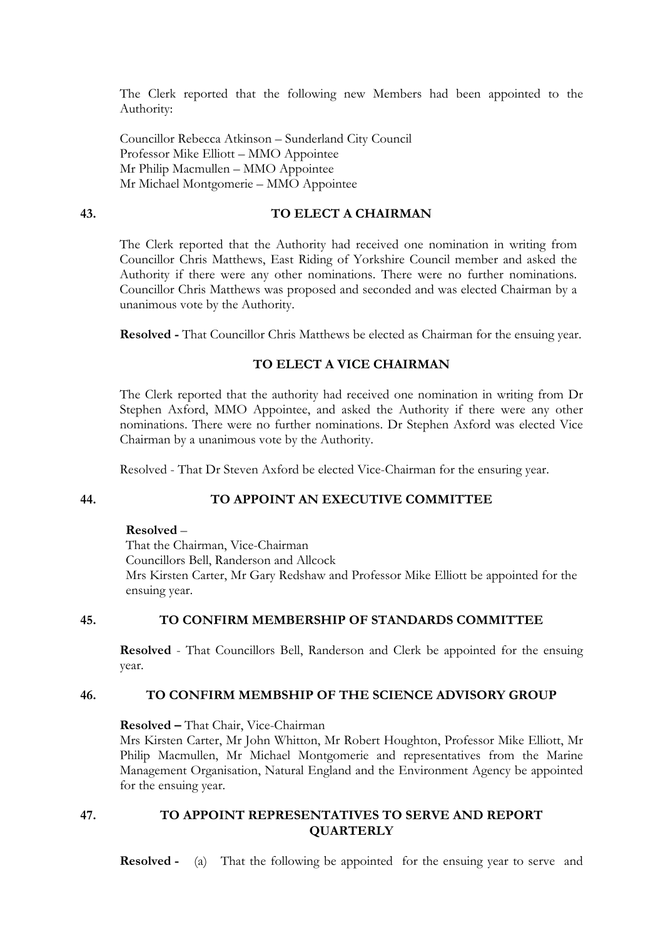The Clerk reported that the following new Members had been appointed to the Authority:

Councillor Rebecca Atkinson – Sunderland City Council Professor Mike Elliott – MMO Appointee Mr Philip Macmullen – MMO Appointee Mr Michael Montgomerie – MMO Appointee

## **43. TO ELECT A CHAIRMAN**

The Clerk reported that the Authority had received one nomination in writing from Councillor Chris Matthews, East Riding of Yorkshire Council member and asked the Authority if there were any other nominations. There were no further nominations. Councillor Chris Matthews was proposed and seconded and was elected Chairman by a unanimous vote by the Authority.

 **Resolved -** That Councillor Chris Matthews be elected as Chairman for the ensuing year.

## **TO ELECT A VICE CHAIRMAN**

The Clerk reported that the authority had received one nomination in writing from Dr Stephen Axford, MMO Appointee, and asked the Authority if there were any other nominations. There were no further nominations. Dr Stephen Axford was elected Vice Chairman by a unanimous vote by the Authority.

Resolved - That Dr Steven Axford be elected Vice-Chairman for the ensuring year.

## **44. TO APPOINT AN EXECUTIVE COMMITTEE**

#### **Resolved** –

That the Chairman, Vice-Chairman Councillors Bell, Randerson and Allcock Mrs Kirsten Carter, Mr Gary Redshaw and Professor Mike Elliott be appointed for the ensuing year.

#### **45. TO CONFIRM MEMBERSHIP OF STANDARDS COMMITTEE**

 **Resolved** - That Councillors Bell, Randerson and Clerk be appointed for the ensuing year.

#### **46. TO CONFIRM MEMBSHIP OF THE SCIENCE ADVISORY GROUP**

 **Resolved –** That Chair, Vice-Chairman

Mrs Kirsten Carter, Mr John Whitton, Mr Robert Houghton, Professor Mike Elliott, Mr Philip Macmullen, Mr Michael Montgomerie and representatives from the Marine Management Organisation, Natural England and the Environment Agency be appointed for the ensuing year.

## **47. TO APPOINT REPRESENTATIVES TO SERVE AND REPORT QUARTERLY**

**Resolved -** (a) That the following be appointed for the ensuing year to serve and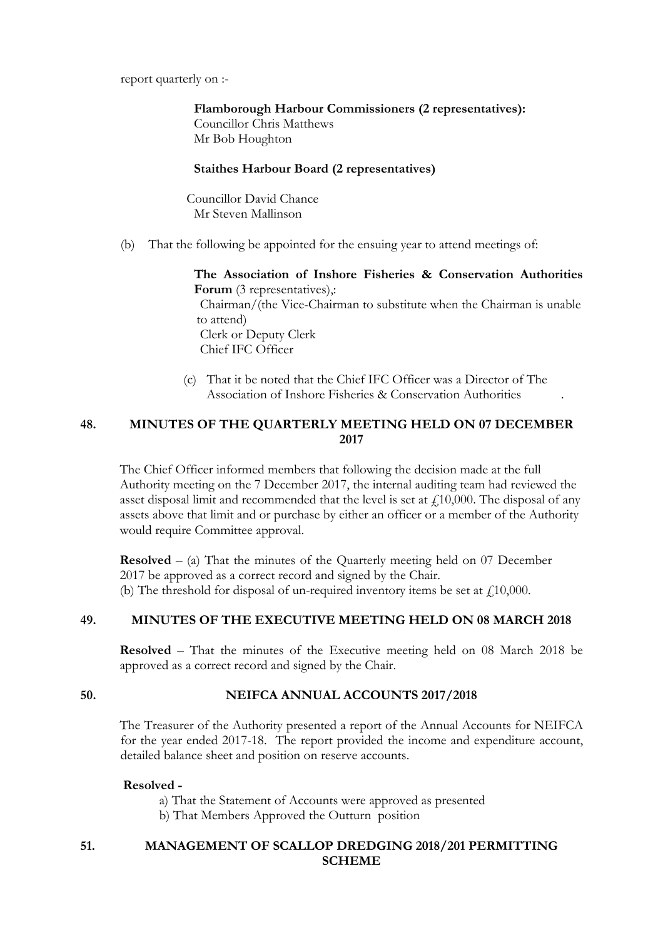report quarterly on :-

 **Flamborough Harbour Commissioners (2 representatives):**  Councillor Chris Matthews Mr Bob Houghton

## **Staithes Harbour Board (2 representatives)**

Councillor David Chance Mr Steven Mallinson

(b) That the following be appointed for the ensuing year to attend meetings of:

**The Association of Inshore Fisheries & Conservation Authorities Forum** (3 representatives).: Chairman/(the Vice-Chairman to substitute when the Chairman is unable to attend) Clerk or Deputy Clerk Chief IFC Officer

 (c) That it be noted that the Chief IFC Officer was a Director of The Association of Inshore Fisheries & Conservation Authorities .

## **48. MINUTES OF THE QUARTERLY MEETING HELD ON 07 DECEMBER 2017**

The Chief Officer informed members that following the decision made at the full Authority meeting on the 7 December 2017, the internal auditing team had reviewed the asset disposal limit and recommended that the level is set at  $\ell$ 10,000. The disposal of any assets above that limit and or purchase by either an officer or a member of the Authority would require Committee approval.

**Resolved** – (a) That the minutes of the Quarterly meeting held on 07 December 2017 be approved as a correct record and signed by the Chair. (b) The threshold for disposal of un-required inventory items be set at  $\ell$ 10,000.

## **49. MINUTES OF THE EXECUTIVE MEETING HELD ON 08 MARCH 2018**

 **Resolved** – That the minutes of the Executive meeting held on 08 March 2018 be approved as a correct record and signed by the Chair.

## **50. NEIFCA ANNUAL ACCOUNTS 2017/2018**

The Treasurer of the Authority presented a report of the Annual Accounts for NEIFCA for the year ended 2017-18. The report provided the income and expenditure account, detailed balance sheet and position on reserve accounts.

## **Resolved -**

- a) That the Statement of Accounts were approved as presented
- b) That Members Approved the Outturn position

## **51. MANAGEMENT OF SCALLOP DREDGING 2018/201 PERMITTING SCHEME**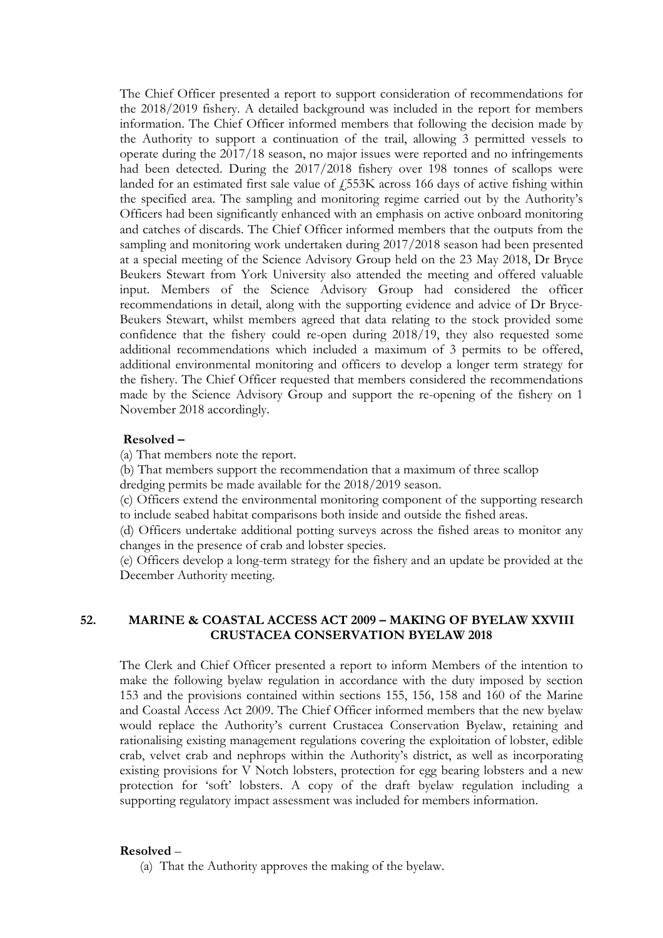The Chief Officer presented a report to support consideration of recommendations for the 2018/2019 fishery. A detailed background was included in the report for members information. The Chief Officer informed members that following the decision made by the Authority to support a continuation of the trail, allowing 3 permitted vessels to operate during the 2017/18 season, no major issues were reported and no infringements had been detected. During the 2017/2018 fishery over 198 tonnes of scallops were landed for an estimated first sale value of  $\overline{4553K}$  across 166 days of active fishing within the specified area. The sampling and monitoring regime carried out by the Authority's Officers had been significantly enhanced with an emphasis on active onboard monitoring and catches of discards. The Chief Officer informed members that the outputs from the sampling and monitoring work undertaken during 2017/2018 season had been presented at a special meeting of the Science Advisory Group held on the 23 May 2018, Dr Bryce Beukers Stewart from York University also attended the meeting and offered valuable input. Members of the Science Advisory Group had considered the officer recommendations in detail, along with the supporting evidence and advice of Dr Bryce-Beukers Stewart, whilst members agreed that data relating to the stock provided some confidence that the fishery could re-open during 2018/19, they also requested some additional recommendations which included a maximum of 3 permits to be offered, additional environmental monitoring and officers to develop a longer term strategy for the fishery. The Chief Officer requested that members considered the recommendations made by the Science Advisory Group and support the re-opening of the fishery on 1 November 2018 accordingly.

#### **Resolved –**

(a) That members note the report.

(b) That members support the recommendation that a maximum of three scallop

dredging permits be made available for the 2018/2019 season.

(c) Officers extend the environmental monitoring component of the supporting research to include seabed habitat comparisons both inside and outside the fished areas.

(d) Officers undertake additional potting surveys across the fished areas to monitor any changes in the presence of crab and lobster species.

(e) Officers develop a long-term strategy for the fishery and an update be provided at the December Authority meeting.

## **52. MARINE & COASTAL ACCESS ACT 2009 – MAKING OF BYELAW XXVIII CRUSTACEA CONSERVATION BYELAW 2018**

The Clerk and Chief Officer presented a report to inform Members of the intention to make the following byelaw regulation in accordance with the duty imposed by section 153 and the provisions contained within sections 155, 156, 158 and 160 of the Marine and Coastal Access Act 2009. The Chief Officer informed members that the new byelaw would replace the Authority's current Crustacea Conservation Byelaw, retaining and rationalising existing management regulations covering the exploitation of lobster, edible crab, velvet crab and nephrops within the Authority's district, as well as incorporating existing provisions for V Notch lobsters, protection for egg bearing lobsters and a new protection for 'soft' lobsters. A copy of the draft byelaw regulation including a supporting regulatory impact assessment was included for members information.

#### **Resolved** –

(a) That the Authority approves the making of the byelaw.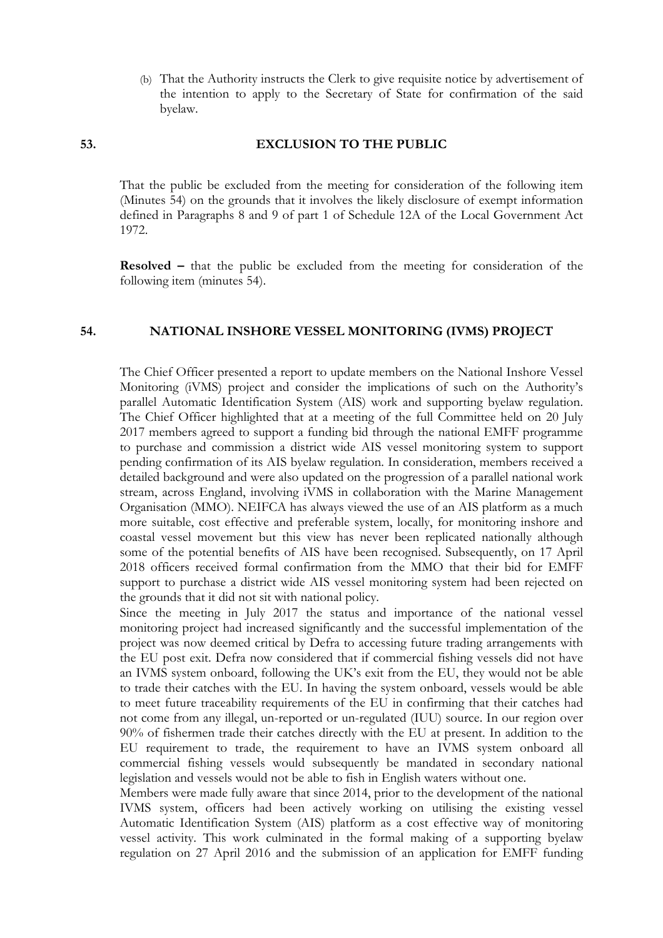(b) That the Authority instructs the Clerk to give requisite notice by advertisement of the intention to apply to the Secretary of State for confirmation of the said byelaw.

# **53. EXCLUSION TO THE PUBLIC**

That the public be excluded from the meeting for consideration of the following item (Minutes 54) on the grounds that it involves the likely disclosure of exempt information defined in Paragraphs 8 and 9 of part 1 of Schedule 12A of the Local Government Act 1972.

**Resolved –** that the public be excluded from the meeting for consideration of the following item (minutes 54).

### **54. NATIONAL INSHORE VESSEL MONITORING (IVMS) PROJECT**

The Chief Officer presented a report to update members on the National Inshore Vessel Monitoring (iVMS) project and consider the implications of such on the Authority's parallel Automatic Identification System (AIS) work and supporting byelaw regulation. The Chief Officer highlighted that at a meeting of the full Committee held on 20 July 2017 members agreed to support a funding bid through the national EMFF programme to purchase and commission a district wide AIS vessel monitoring system to support pending confirmation of its AIS byelaw regulation. In consideration, members received a detailed background and were also updated on the progression of a parallel national work stream, across England, involving iVMS in collaboration with the Marine Management Organisation (MMO). NEIFCA has always viewed the use of an AIS platform as a much more suitable, cost effective and preferable system, locally, for monitoring inshore and coastal vessel movement but this view has never been replicated nationally although some of the potential benefits of AIS have been recognised. Subsequently, on 17 April 2018 officers received formal confirmation from the MMO that their bid for EMFF support to purchase a district wide AIS vessel monitoring system had been rejected on the grounds that it did not sit with national policy.

Since the meeting in July 2017 the status and importance of the national vessel monitoring project had increased significantly and the successful implementation of the project was now deemed critical by Defra to accessing future trading arrangements with the EU post exit. Defra now considered that if commercial fishing vessels did not have an IVMS system onboard, following the UK's exit from the EU, they would not be able to trade their catches with the EU. In having the system onboard, vessels would be able to meet future traceability requirements of the EU in confirming that their catches had not come from any illegal, un-reported or un-regulated (IUU) source. In our region over 90% of fishermen trade their catches directly with the EU at present. In addition to the EU requirement to trade, the requirement to have an IVMS system onboard all commercial fishing vessels would subsequently be mandated in secondary national legislation and vessels would not be able to fish in English waters without one.

Members were made fully aware that since 2014, prior to the development of the national IVMS system, officers had been actively working on utilising the existing vessel Automatic Identification System (AIS) platform as a cost effective way of monitoring vessel activity. This work culminated in the formal making of a supporting byelaw regulation on 27 April 2016 and the submission of an application for EMFF funding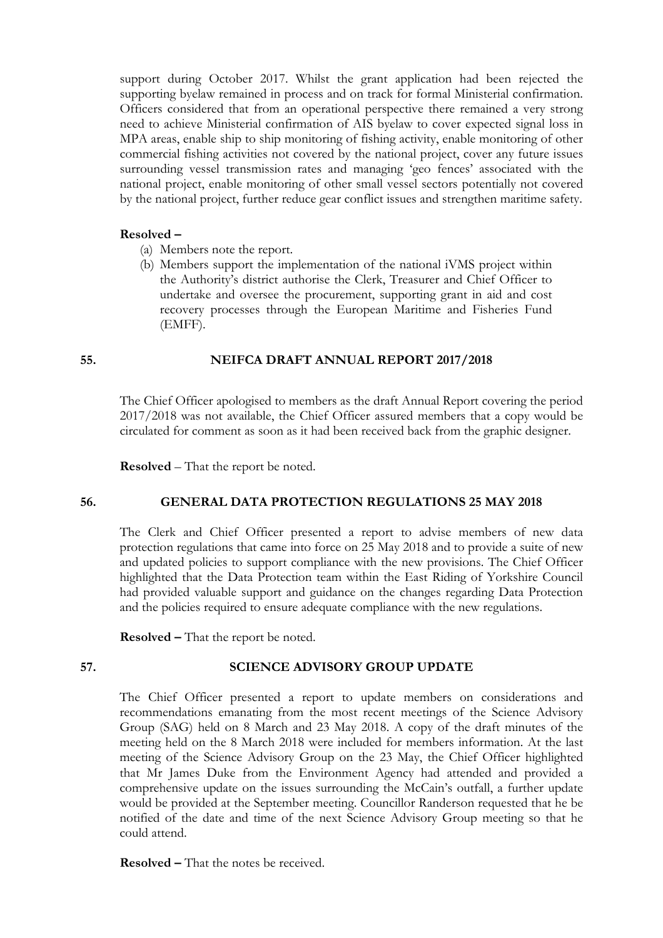support during October 2017. Whilst the grant application had been rejected the supporting byelaw remained in process and on track for formal Ministerial confirmation. Officers considered that from an operational perspective there remained a very strong need to achieve Ministerial confirmation of AIS byelaw to cover expected signal loss in MPA areas, enable ship to ship monitoring of fishing activity, enable monitoring of other commercial fishing activities not covered by the national project, cover any future issues surrounding vessel transmission rates and managing 'geo fences' associated with the national project, enable monitoring of other small vessel sectors potentially not covered by the national project, further reduce gear conflict issues and strengthen maritime safety.

#### **Resolved –**

- (a) Members note the report.
- (b) Members support the implementation of the national iVMS project within the Authority's district authorise the Clerk, Treasurer and Chief Officer to undertake and oversee the procurement, supporting grant in aid and cost recovery processes through the European Maritime and Fisheries Fund (EMFF).

### **55. NEIFCA DRAFT ANNUAL REPORT 2017/2018**

The Chief Officer apologised to members as the draft Annual Report covering the period 2017/2018 was not available, the Chief Officer assured members that a copy would be circulated for comment as soon as it had been received back from the graphic designer.

 **Resolved** – That the report be noted.

## **56. GENERAL DATA PROTECTION REGULATIONS 25 MAY 2018**

The Clerk and Chief Officer presented a report to advise members of new data protection regulations that came into force on 25 May 2018 and to provide a suite of new and updated policies to support compliance with the new provisions. The Chief Officer highlighted that the Data Protection team within the East Riding of Yorkshire Council had provided valuable support and guidance on the changes regarding Data Protection and the policies required to ensure adequate compliance with the new regulations.

 **Resolved –** That the report be noted.

## **57. SCIENCE ADVISORY GROUP UPDATE**

The Chief Officer presented a report to update members on considerations and recommendations emanating from the most recent meetings of the Science Advisory Group (SAG) held on 8 March and 23 May 2018. A copy of the draft minutes of the meeting held on the 8 March 2018 were included for members information. At the last meeting of the Science Advisory Group on the 23 May, the Chief Officer highlighted that Mr James Duke from the Environment Agency had attended and provided a comprehensive update on the issues surrounding the McCain's outfall, a further update would be provided at the September meeting. Councillor Randerson requested that he be notified of the date and time of the next Science Advisory Group meeting so that he could attend.

 **Resolved –** That the notes be received.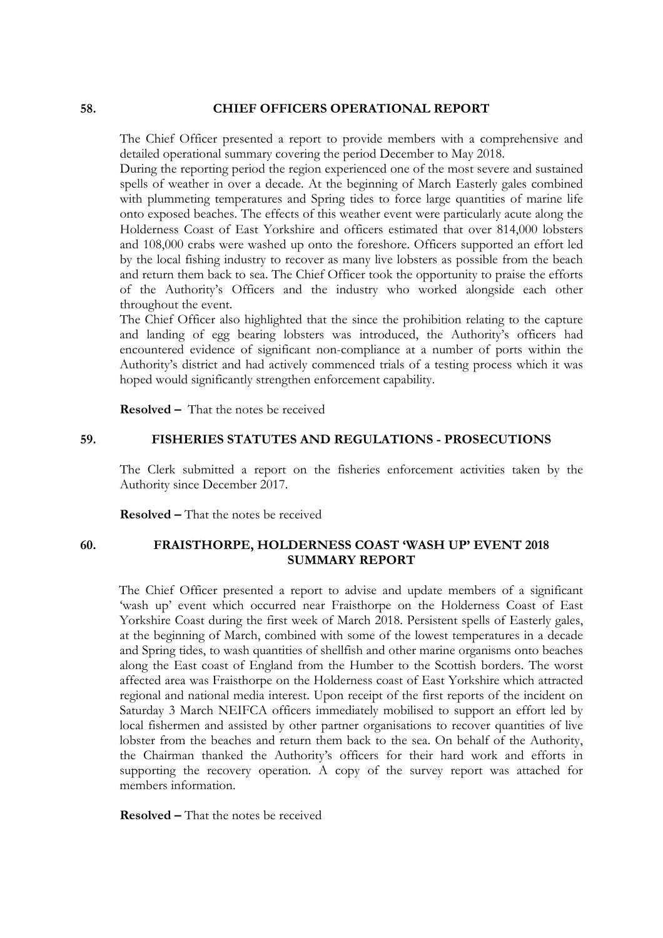#### **58. CHIEF OFFICERS OPERATIONAL REPORT**

The Chief Officer presented a report to provide members with a comprehensive and detailed operational summary covering the period December to May 2018.

During the reporting period the region experienced one of the most severe and sustained spells of weather in over a decade. At the beginning of March Easterly gales combined with plummeting temperatures and Spring tides to force large quantities of marine life onto exposed beaches. The effects of this weather event were particularly acute along the Holderness Coast of East Yorkshire and officers estimated that over 814,000 lobsters and 108,000 crabs were washed up onto the foreshore. Officers supported an effort led by the local fishing industry to recover as many live lobsters as possible from the beach and return them back to sea. The Chief Officer took the opportunity to praise the efforts of the Authority's Officers and the industry who worked alongside each other throughout the event.

The Chief Officer also highlighted that the since the prohibition relating to the capture and landing of egg bearing lobsters was introduced, the Authority's officers had encountered evidence of significant non-compliance at a number of ports within the Authority's district and had actively commenced trials of a testing process which it was hoped would significantly strengthen enforcement capability.

 **Resolved –** That the notes be received

### **59. FISHERIES STATUTES AND REGULATIONS - PROSECUTIONS**

The Clerk submitted a report on the fisheries enforcement activities taken by the Authority since December 2017.

 **Resolved –** That the notes be received

## **60. FRAISTHORPE, HOLDERNESS COAST 'WASH UP' EVENT 2018 SUMMARY REPORT**

The Chief Officer presented a report to advise and update members of a significant 'wash up' event which occurred near Fraisthorpe on the Holderness Coast of East Yorkshire Coast during the first week of March 2018. Persistent spells of Easterly gales, at the beginning of March, combined with some of the lowest temperatures in a decade and Spring tides, to wash quantities of shellfish and other marine organisms onto beaches along the East coast of England from the Humber to the Scottish borders. The worst affected area was Fraisthorpe on the Holderness coast of East Yorkshire which attracted regional and national media interest. Upon receipt of the first reports of the incident on Saturday 3 March NEIFCA officers immediately mobilised to support an effort led by local fishermen and assisted by other partner organisations to recover quantities of live lobster from the beaches and return them back to the sea. On behalf of the Authority, the Chairman thanked the Authority's officers for their hard work and efforts in supporting the recovery operation. A copy of the survey report was attached for members information.

 **Resolved –** That the notes be received